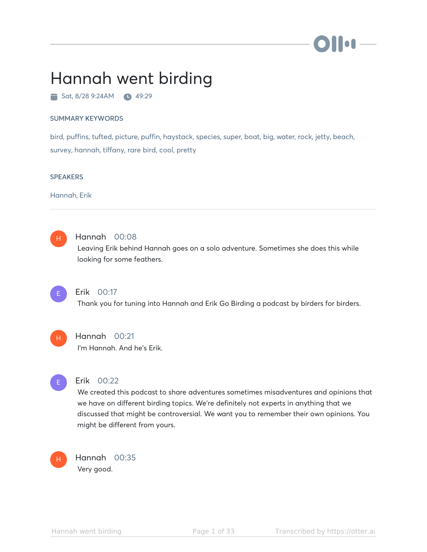# II.

# Hannah went birding

 $\blacksquare$  Sat, 8/28 9:24AM  $\blacksquare$  49:29

#### SUMMARY KEYWORDS

bird, puffins, tufted, picture, puffin, haystack, species, super, boat, big, water, rock, jetty, beach, survey, hannah, tiffany, rare bird, cool, pretty

#### **SPEAKERS**

Hannah, Erik

## H

## Hannah 00:08

Leaving Erik behind Hannah goes on a solo adventure. Sometimes she does this while looking for some feathers.



## Erik 00:17

Thank you for tuning into Hannah and Erik Go Birding a podcast by birders for birders.



## Hannah 00:21

I'm Hannah. And he's Erik.



## Erik 00:22

We created this podcast to share adventures sometimes misadventures and opinions that we have on different birding topics. We're definitely not experts in anything that we discussed that might be controversial. We want you to remember their own opinions. You might be different from yours.



Hannah 00:35 Very good.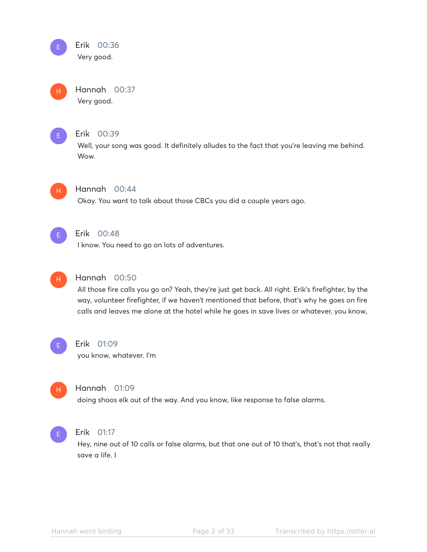#### Erik 00:36 Very good. E

Hannah 00:37 Very good. H



## Erik 00:39

Well, your song was good. It definitely alludes to the fact that you're leaving me behind. Wow.



## Hannah 00:44

Okay. You want to talk about those CBCs you did a couple years ago.



## Erik 00:48

I know. You need to go on lots of adventures.



## Hannah 00:50

All those fire calls you go on? Yeah, they're just get back. All right. Erik's firefighter, by the way, volunteer firefighter, if we haven't mentioned that before, that's why he goes on fire calls and leaves me alone at the hotel while he goes in save lives or whatever, you know,



## Erik 01:09

you know, whatever. I'm



## Hannah 01:09

doing shoos elk out of the way. And you know, like response to false alarms.



## Erik 01:17

Hey, nine out of 10 calls or false alarms, but that one out of 10 that's, that's not that really save a life. I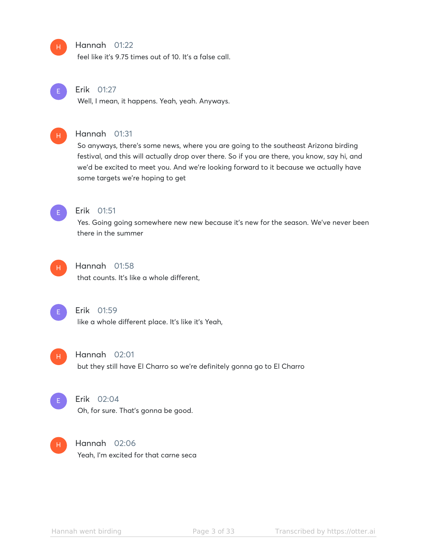#### Hannah 01:22

feel like it's 9.75 times out of 10. It's a false call.



H

## Erik 01:27

Well, I mean, it happens. Yeah, yeah. Anyways.



## Hannah 01:31

So anyways, there's some news, where you are going to the southeast Arizona birding festival, and this will actually drop over there. So if you are there, you know, say hi, and we'd be excited to meet you. And we're looking forward to it because we actually have some targets we're hoping to get



## Erik 01:51

Yes. Going going somewhere new new because it's new for the season. We've never been there in the summer



## Hannah 01:58

that counts. It's like a whole different,



#### Erik 01:59

like a whole different place. It's like it's Yeah,



## Hannah 02:01

but they still have El Charro so we're definitely gonna go to El Charro



## Erik 02:04

Oh, for sure. That's gonna be good.

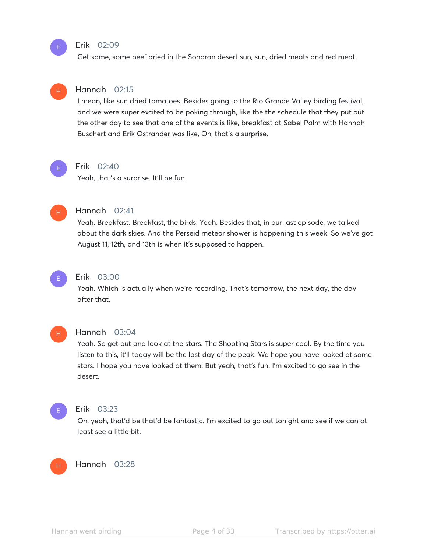#### Erik 02:09

Get some, some beef dried in the Sonoran desert sun, sun, dried meats and red meat.



E

## Hannah 02:15

I mean, like sun dried tomatoes. Besides going to the Rio Grande Valley birding festival, and we were super excited to be poking through, like the the schedule that they put out the other day to see that one of the events is like, breakfast at Sabel Palm with Hannah Buschert and Erik Ostrander was like, Oh, that's a surprise.



#### Erik 02:40

Yeah, that's a surprise. It'll be fun.



#### Hannah 02:41

Yeah. Breakfast. Breakfast, the birds. Yeah. Besides that, in our last episode, we talked about the dark skies. And the Perseid meteor shower is happening this week. So we've got August 11, 12th, and 13th is when it's supposed to happen.



#### Erik 03:00

Yeah. Which is actually when we're recording. That's tomorrow, the next day, the day after that.



#### Hannah 03:04

Yeah. So get out and look at the stars. The Shooting Stars is super cool. By the time you listen to this, it'll today will be the last day of the peak. We hope you have looked at some stars. I hope you have looked at them. But yeah, that's fun. I'm excited to go see in the desert.



#### Erik 03:23

Oh, yeah, that'd be that'd be fantastic. I'm excited to go out tonight and see if we can at least see a little bit.

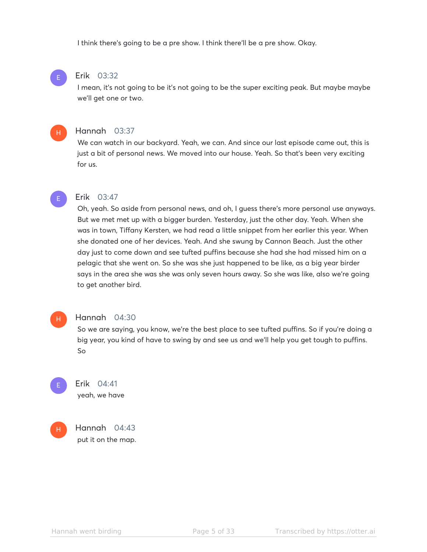I think there's going to be a pre show. I think there'll be a pre show. Okay.

#### Erik 03:32

I mean, it's not going to be it's not going to be the super exciting peak. But maybe maybe we'll get one or two.

#### Hannah 03:37

We can watch in our backyard. Yeah, we can. And since our last episode came out, this is just a bit of personal news. We moved into our house. Yeah. So that's been very exciting for us.



E

H

#### Erik 03:47

Oh, yeah. So aside from personal news, and oh, I guess there's more personal use anyways. But we met met up with a bigger burden. Yesterday, just the other day. Yeah. When she was in town, Tiffany Kersten, we had read a little snippet from her earlier this year. When she donated one of her devices. Yeah. And she swung by Cannon Beach. Just the other day just to come down and see tufted puffins because she had she had missed him on a pelagic that she went on. So she was she just happened to be like, as a big year birder says in the area she was she was only seven hours away. So she was like, also we're going to get another bird.

#### H

#### Hannah 04:30

So we are saying, you know, we're the best place to see tufted puffins. So if you're doing a big year, you kind of have to swing by and see us and we'll help you get tough to puffins. So





Hannah 04:43 put it on the map.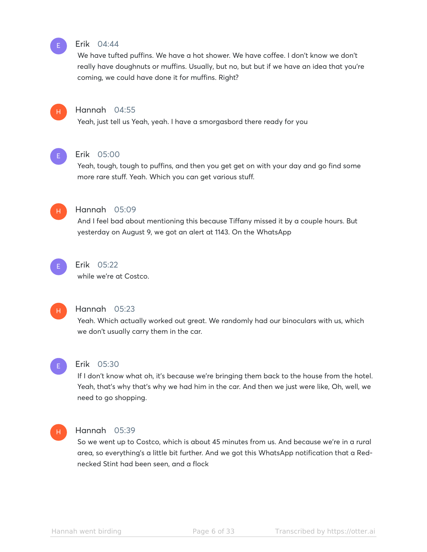

#### Erik 04:44

We have tufted puffins. We have a hot shower. We have coffee. I don't know we don't really have doughnuts or muffins. Usually, but no, but but if we have an idea that you're coming, we could have done it for muffins. Right?



## Hannah 04:55

Yeah, just tell us Yeah, yeah. I have a smorgasbord there ready for you



## Erik 05:00

Yeah, tough, tough to puffins, and then you get get on with your day and go find some more rare stuff. Yeah. Which you can get various stuff.



#### Hannah 05:09

And I feel bad about mentioning this because Tiffany missed it by a couple hours. But yesterday on August 9, we got an alert at 1143. On the WhatsApp



#### Erik 05:22

while we're at Costco.



#### Hannah 05:23

Yeah. Which actually worked out great. We randomly had our binoculars with us, which we don't usually carry them in the car.



#### Erik 05:30

If I don't know what oh, it's because we're bringing them back to the house from the hotel. Yeah, that's why that's why we had him in the car. And then we just were like, Oh, well, we need to go shopping.

#### H

## Hannah 05:39

So we went up to Costco, which is about 45 minutes from us. And because we're in a rural area, so everything's a little bit further. And we got this WhatsApp notification that a Rednecked Stint had been seen, and a flock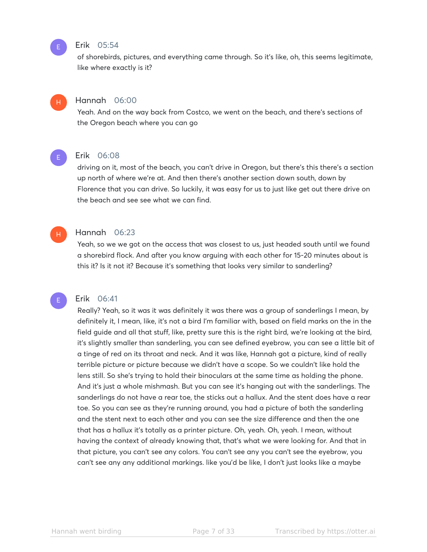#### Erik 05:54

of shorebirds, pictures, and everything came through. So it's like, oh, this seems legitimate, like where exactly is it?

## Hannah 06:00

Yeah. And on the way back from Costco, we went on the beach, and there's sections of the Oregon beach where you can go



H

E

E

H

#### Erik 06:08

driving on it, most of the beach, you can't drive in Oregon, but there's this there's a section up north of where we're at. And then there's another section down south, down by Florence that you can drive. So luckily, it was easy for us to just like get out there drive on the beach and see see what we can find.

#### Hannah 06:23

Yeah, so we we got on the access that was closest to us, just headed south until we found a shorebird flock. And after you know arguing with each other for 15-20 minutes about is this it? Is it not it? Because it's something that looks very similar to sanderling?

## Erik 06:41

Really? Yeah, so it was it was definitely it was there was a group of sanderlings I mean, by definitely it, I mean, like, it's not a bird I'm familiar with, based on field marks on the in the field guide and all that stuff, like, pretty sure this is the right bird, we're looking at the bird, it's slightly smaller than sanderling, you can see defined eyebrow, you can see a little bit of a tinge of red on its throat and neck. And it was like, Hannah got a picture, kind of really terrible picture or picture because we didn't have a scope. So we couldn't like hold the lens still. So she's trying to hold their binoculars at the same time as holding the phone. And it's just a whole mishmash. But you can see it's hanging out with the sanderlings. The sanderlings do not have a rear toe, the sticks out a hallux. And the stent does have a rear toe. So you can see as they're running around, you had a picture of both the sanderling and the stent next to each other and you can see the size difference and then the one that has a hallux it's totally as a printer picture. Oh, yeah. Oh, yeah. I mean, without having the context of already knowing that, that's what we were looking for. And that in that picture, you can't see any colors. You can't see any you can't see the eyebrow, you can't see any any additional markings. like you'd be like, I don't just looks like a maybe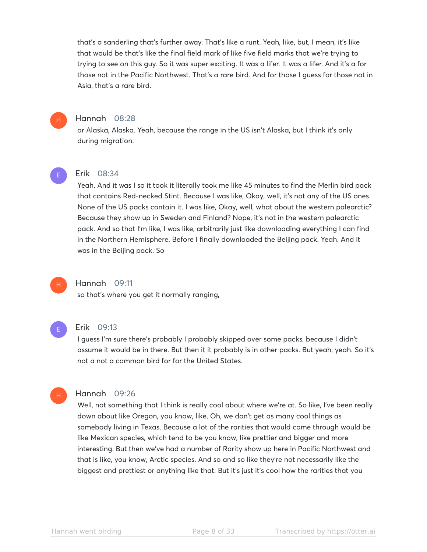that's a sanderling that's further away. That's like a runt. Yeah, like, but, I mean, it's like that would be that's like the final field mark of like five field marks that we're trying to trying to see on this guy. So it was super exciting. It was a lifer. It was a lifer. And it's a for those not in the Pacific Northwest. That's a rare bird. And for those I guess for those not in Asia, that's a rare bird.

## H

## Hannah 08:28

or Alaska, Alaska. Yeah, because the range in the US isn't Alaska, but I think it's only during migration.

#### E

#### Erik 08:34

Yeah. And it was I so it took it literally took me like 45 minutes to find the Merlin bird pack that contains Red-necked Stint. Because I was like, Okay, well, it's not any of the US ones. None of the US packs contain it. I was like, Okay, well, what about the western palearctic? Because they show up in Sweden and Finland? Nope, it's not in the western palearctic pack. And so that I'm like, I was like, arbitrarily just like downloading everything I can find in the Northern Hemisphere. Before I finally downloaded the Beijing pack. Yeah. And it was in the Beijing pack. So

## Hannah 09:11

so that's where you get it normally ranging,

## E

H

H

#### Erik 09:13

I guess I'm sure there's probably I probably skipped over some packs, because I didn't assume it would be in there. But then it it probably is in other packs. But yeah, yeah. So it's not a not a common bird for for the United States.

## Hannah 09:26

Well, not something that I think is really cool about where we're at. So like, I've been really down about like Oregon, you know, like, Oh, we don't get as many cool things as somebody living in Texas. Because a lot of the rarities that would come through would be like Mexican species, which tend to be you know, like prettier and bigger and more interesting. But then we've had a number of Rarity show up here in Pacific Northwest and that is like, you know, Arctic species. And so and so like they're not necessarily like the biggest and prettiest or anything like that. But it's just it's cool how the rarities that you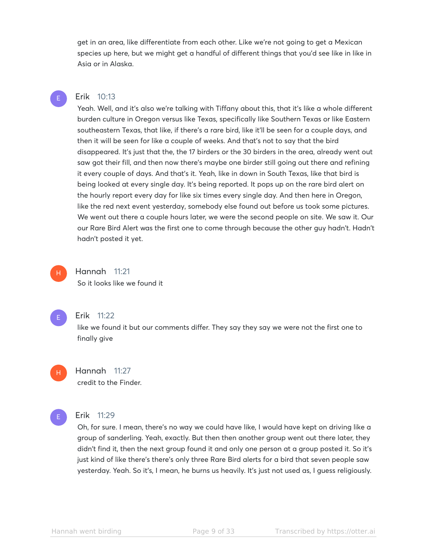get in an area, like differentiate from each other. Like we're not going to get a Mexican species up here, but we might get a handful of different things that you'd see like in like in Asia or in Alaska.

## Erik 10:13

E

Yeah. Well, and it's also we're talking with Tiffany about this, that it's like a whole different burden culture in Oregon versus like Texas, specifically like Southern Texas or like Eastern southeastern Texas, that like, if there's a rare bird, like it'll be seen for a couple days, and then it will be seen for like a couple of weeks. And that's not to say that the bird disappeared. It's just that the, the 17 birders or the 30 birders in the area, already went out saw got their fill, and then now there's maybe one birder still going out there and refining it every couple of days. And that's it. Yeah, like in down in South Texas, like that bird is being looked at every single day. It's being reported. It pops up on the rare bird alert on the hourly report every day for like six times every single day. And then here in Oregon, like the red next event yesterday, somebody else found out before us took some pictures. We went out there a couple hours later, we were the second people on site. We saw it. Our our Rare Bird Alert was the first one to come through because the other guy hadn't. Hadn't hadn't posted it yet.



## Hannah 11:21

So it looks like we found it



#### Erik 11:22

like we found it but our comments differ. They say they say we were not the first one to finally give

H

# Hannah 11:27

credit to the Finder.



#### Erik 11:29

Oh, for sure. I mean, there's no way we could have like, I would have kept on driving like a group of sanderling. Yeah, exactly. But then then another group went out there later, they didn't find it, then the next group found it and only one person at a group posted it. So it's just kind of like there's there's only three Rare Bird alerts for a bird that seven people saw yesterday. Yeah. So it's, I mean, he burns us heavily. It's just not used as, I guess religiously.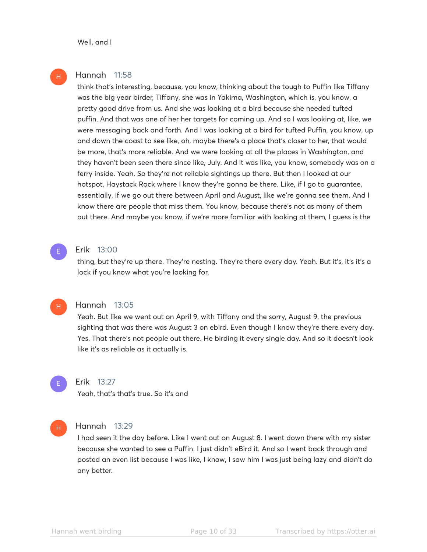H

#### Hannah 11:58

think that's interesting, because, you know, thinking about the tough to Puffin like Tiffany was the big year birder, Tiffany, she was in Yakima, Washington, which is, you know, a pretty good drive from us. And she was looking at a bird because she needed tufted puffin. And that was one of her her targets for coming up. And so I was looking at, like, we were messaging back and forth. And I was looking at a bird for tufted Puffin, you know, up and down the coast to see like, oh, maybe there's a place that's closer to her, that would be more, that's more reliable. And we were looking at all the places in Washington, and they haven't been seen there since like, July. And it was like, you know, somebody was on a ferry inside. Yeah. So they're not reliable sightings up there. But then I looked at our hotspot, Haystack Rock where I know they're gonna be there. Like, if I go to guarantee, essentially, if we go out there between April and August, like we're gonna see them. And I know there are people that miss them. You know, because there's not as many of them out there. And maybe you know, if we're more familiar with looking at them, I guess is the

#### Erik 13:00

thing, but they're up there. They're nesting. They're there every day. Yeah. But it's, it's it's a lock if you know what you're looking for.

#### Hannah 13:05

Yeah. But like we went out on April 9, with Tiffany and the sorry, August 9, the previous sighting that was there was August 3 on ebird. Even though I know they're there every day. Yes. That there's not people out there. He birding it every single day. And so it doesn't look like it's as reliable as it actually is.



E

H

#### Erik 13:27

Yeah, that's that's true. So it's and

#### H

#### Hannah 13:29

I had seen it the day before. Like I went out on August 8. I went down there with my sister because she wanted to see a Puffin. I just didn't eBird it. And so I went back through and posted an even list because I was like, I know, I saw him I was just being lazy and didn't do any better.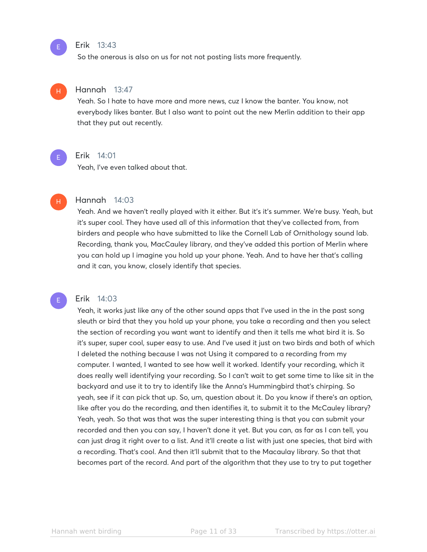#### Erik 13:43

So the onerous is also on us for not not posting lists more frequently.

#### Hannah 13:47

Yeah. So I hate to have more and more news, cuz I know the banter. You know, not everybody likes banter. But I also want to point out the new Merlin addition to their app that they put out recently.



H

E

E

H

#### Erik 14:01

Yeah, I've even talked about that.

## Hannah 14:03

Yeah. And we haven't really played with it either. But it's it's summer. We're busy. Yeah, but it's super cool. They have used all of this information that they've collected from, from birders and people who have submitted to like the Cornell Lab of Ornithology sound lab. Recording, thank you, MacCauley library, and they've added this portion of Merlin where you can hold up I imagine you hold up your phone. Yeah. And to have her that's calling and it can, you know, closely identify that species.

### Erik 14:03

Yeah, it works just like any of the other sound apps that I've used in the in the past song sleuth or bird that they you hold up your phone, you take a recording and then you select the section of recording you want want to identify and then it tells me what bird it is. So it's super, super cool, super easy to use. And I've used it just on two birds and both of which I deleted the nothing because I was not Using it compared to a recording from my computer. I wanted, I wanted to see how well it worked. Identify your recording, which it does really well identifying your recording. So I can't wait to get some time to like sit in the backyard and use it to try to identify like the Anna's Hummingbird that's chirping. So yeah, see if it can pick that up. So, um, question about it. Do you know if there's an option, like after you do the recording, and then identifies it, to submit it to the McCauley library? Yeah, yeah. So that was that was the super interesting thing is that you can submit your recorded and then you can say, I haven't done it yet. But you can, as far as I can tell, you can just drag it right over to a list. And it'll create a list with just one species, that bird with a recording. That's cool. And then it'll submit that to the Macaulay library. So that that becomes part of the record. And part of the algorithm that they use to try to put together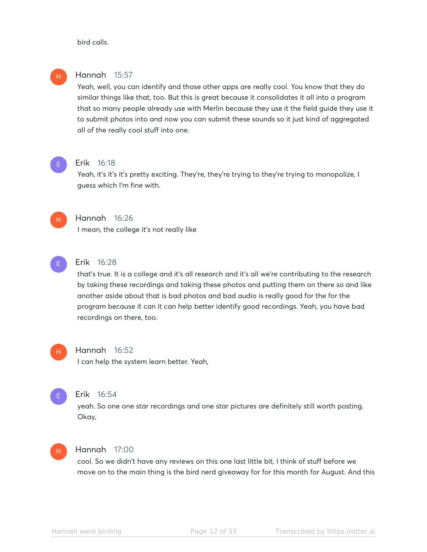bird calls.



#### Hannah 15:57

Yeah, well, you can identify and those other apps are really cool. You know that they do similar things like that, too. But this is great because it consolidates it all into a program that so many people already use with Merlin because they use it the field guide they use it to submit photos into and now you can submit these sounds so it just kind of aggregated all of the really cool stuff into one.

# E

#### Erik 16:18

Yeah, it's it's it's pretty exciting. They're, they're trying to they're trying to monopolize, I guess which I'm fine with.



## Hannah 16:26

I mean, the college it's not really like



## Erik 16:28

that's true. It is a college and it's all research and it's all we're contributing to the research by taking these recordings and taking these photos and putting them on there so and like another aside about that is bad photos and bad audio is really good for the for the program because it can it can help better identify good recordings. Yeah, you have bad recordings on there, too.

# H

#### Hannah 16:52

I can help the system learn better. Yeah,

## E

## Erik 16:54

yeah. So one one star recordings and one star pictures are definitely still worth posting. Okay,

## H

## Hannah 17:00

cool. So we didn't have any reviews on this one last little bit, I think of stuff before we move on to the main thing is the bird nerd giveaway for for this month for August. And this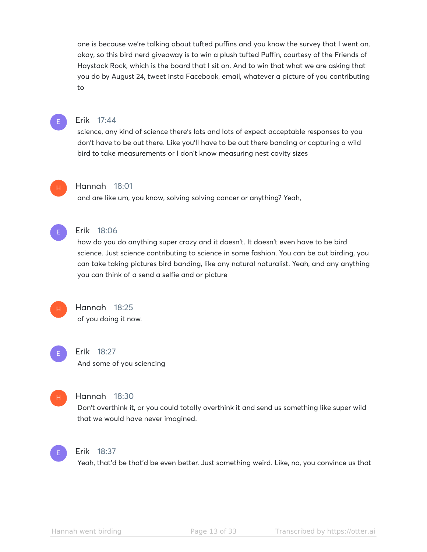one is because we're talking about tufted puffins and you know the survey that I went on, okay, so this bird nerd giveaway is to win a plush tufted Puffin, courtesy of the Friends of Haystack Rock, which is the board that I sit on. And to win that what we are asking that you do by August 24, tweet insta Facebook, email, whatever a picture of you contributing to



## Erik 17:44

science, any kind of science there's lots and lots of expect acceptable responses to you don't have to be out there. Like you'll have to be out there banding or capturing a wild bird to take measurements or I don't know measuring nest cavity sizes



#### Hannah 18:01

and are like um, you know, solving solving cancer or anything? Yeah,



#### Erik 18:06

how do you do anything super crazy and it doesn't. It doesn't even have to be bird science. Just science contributing to science in some fashion. You can be out birding, you can take taking pictures bird banding, like any natural naturalist. Yeah, and any anything you can think of a send a selfie and or picture



## Hannah 18:25 of you doing it now.



H

## Hannah 18:30

Don't overthink it, or you could totally overthink it and send us something like super wild that we would have never imagined.



#### Erik 18:37

Yeah, that'd be that'd be even better. Just something weird. Like, no, you convince us that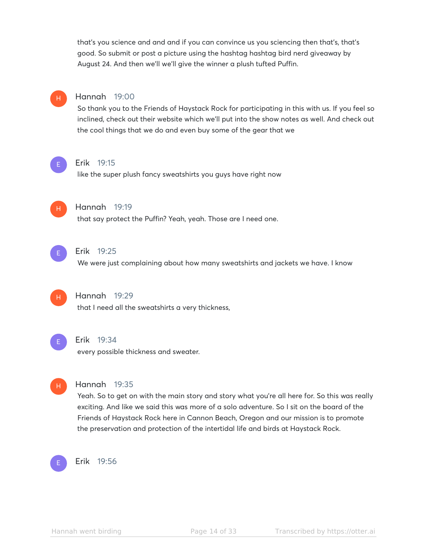that's you science and and and if you can convince us you sciencing then that's, that's good. So submit or post a picture using the hashtag hashtag bird nerd giveaway by August 24. And then we'll we'll give the winner a plush tufted Puffin.

## Hannah 19:00

So thank you to the Friends of Haystack Rock for participating in this with us. If you feel so inclined, check out their website which we'll put into the show notes as well. And check out the cool things that we do and even buy some of the gear that we



H

#### Erik 19:15

like the super plush fancy sweatshirts you guys have right now



## Hannah 19:19

that say protect the Puffin? Yeah, yeah. Those are I need one.



#### Erik 19:25

We were just complaining about how many sweatshirts and jackets we have. I know



## Hannah 19:29

that I need all the sweatshirts a very thickness,



#### Erik 19:34

every possible thickness and sweater.



#### Hannah 19:35

Yeah. So to get on with the main story and story what you're all here for. So this was really exciting. And like we said this was more of a solo adventure. So I sit on the board of the Friends of Haystack Rock here in Cannon Beach, Oregon and our mission is to promote the preservation and protection of the intertidal life and birds at Haystack Rock.



## Erik 19:56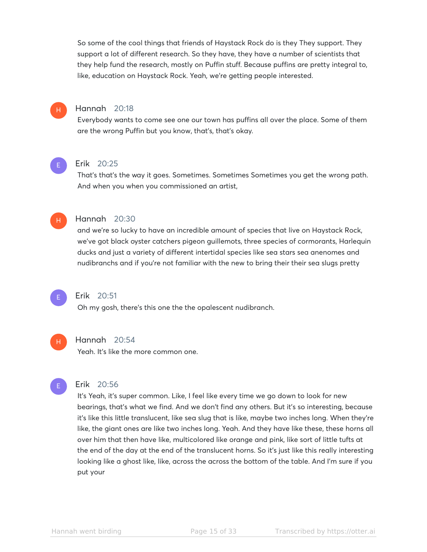So some of the cool things that friends of Haystack Rock do is they They support. They support a lot of different research. So they have, they have a number of scientists that they help fund the research, mostly on Puffin stuff. Because puffins are pretty integral to, like, education on Haystack Rock. Yeah, we're getting people interested.



## Hannah 20:18

Everybody wants to come see one our town has puffins all over the place. Some of them are the wrong Puffin but you know, that's, that's okay.

## E

#### Erik 20:25

That's that's the way it goes. Sometimes. Sometimes Sometimes you get the wrong path. And when you when you commissioned an artist,



#### Hannah 20:30

and we're so lucky to have an incredible amount of species that live on Haystack Rock, we've got black oyster catchers pigeon guillemots, three species of cormorants, Harlequin ducks and just a variety of different intertidal species like sea stars sea anenomes and nudibranchs and if you're not familiar with the new to bring their their sea slugs pretty



## Erik 20:51

Oh my gosh, there's this one the the opalescent nudibranch.



E

#### Hannah 20:54

Yeah. It's like the more common one.

#### Erik 20:56

It's Yeah, it's super common. Like, I feel like every time we go down to look for new bearings, that's what we find. And we don't find any others. But it's so interesting, because it's like this little translucent, like sea slug that is like, maybe two inches long. When they're like, the giant ones are like two inches long. Yeah. And they have like these, these horns all over him that then have like, multicolored like orange and pink, like sort of little tufts at the end of the day at the end of the translucent horns. So it's just like this really interesting looking like a ghost like, like, across the across the bottom of the table. And I'm sure if you put your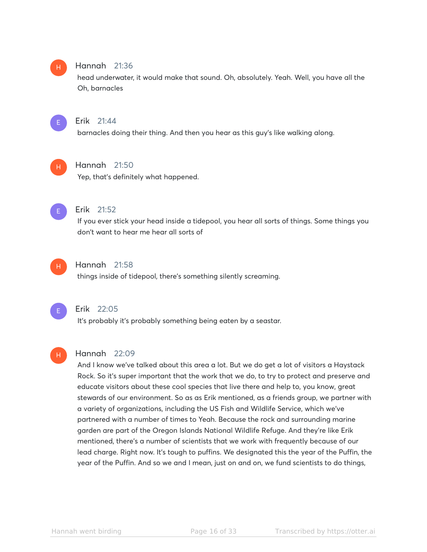#### Hannah 21:36 H

head underwater, it would make that sound. Oh, absolutely. Yeah. Well, you have all the Oh, barnacles



#### Erik 21:44

barnacles doing their thing. And then you hear as this guy's like walking along.



## Hannah 21:50

Yep, that's definitely what happened.



#### Erik 21:52

If you ever stick your head inside a tidepool, you hear all sorts of things. Some things you don't want to hear me hear all sorts of



## Hannah 21:58

things inside of tidepool, there's something silently screaming.



H

## Erik 22:05

It's probably it's probably something being eaten by a seastar.

#### Hannah 22:09

And I know we've talked about this area a lot. But we do get a lot of visitors a Haystack Rock. So it's super important that the work that we do, to try to protect and preserve and educate visitors about these cool species that live there and help to, you know, great stewards of our environment. So as as Erik mentioned, as a friends group, we partner with a variety of organizations, including the US Fish and Wildlife Service, which we've partnered with a number of times to Yeah. Because the rock and surrounding marine garden are part of the Oregon Islands National Wildlife Refuge. And they're like Erik mentioned, there's a number of scientists that we work with frequently because of our lead charge. Right now. It's tough to puffins. We designated this the year of the Puffin, the year of the Puffin. And so we and I mean, just on and on, we fund scientists to do things,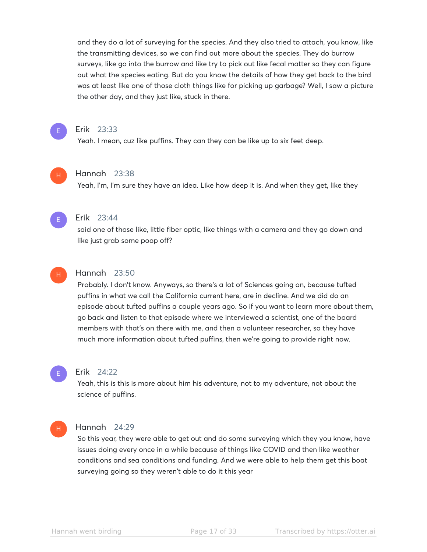and they do a lot of surveying for the species. And they also tried to attach, you know, like the transmitting devices, so we can find out more about the species. They do burrow surveys, like go into the burrow and like try to pick out like fecal matter so they can figure out what the species eating. But do you know the details of how they get back to the bird was at least like one of those cloth things like for picking up garbage? Well, I saw a picture the other day, and they just like, stuck in there.



#### Erik 23:33

Yeah. I mean, cuz like puffins. They can they can be like up to six feet deep.

#### Hannah 23:38

Yeah, I'm, I'm sure they have an idea. Like how deep it is. And when they get, like they



H

#### Erik 23:44

said one of those like, little fiber optic, like things with a camera and they go down and like just grab some poop off?



## Hannah 23:50

Probably. I don't know. Anyways, so there's a lot of Sciences going on, because tufted puffins in what we call the California current here, are in decline. And we did do an episode about tufted puffins a couple years ago. So if you want to learn more about them, go back and listen to that episode where we interviewed a scientist, one of the board members with that's on there with me, and then a volunteer researcher, so they have much more information about tufted puffins, then we're going to provide right now.



#### Erik 24:22

Yeah, this is this is more about him his adventure, not to my adventure, not about the science of puffins.



#### Hannah 24:29

So this year, they were able to get out and do some surveying which they you know, have issues doing every once in a while because of things like COVID and then like weather conditions and sea conditions and funding. And we were able to help them get this boat surveying going so they weren't able to do it this year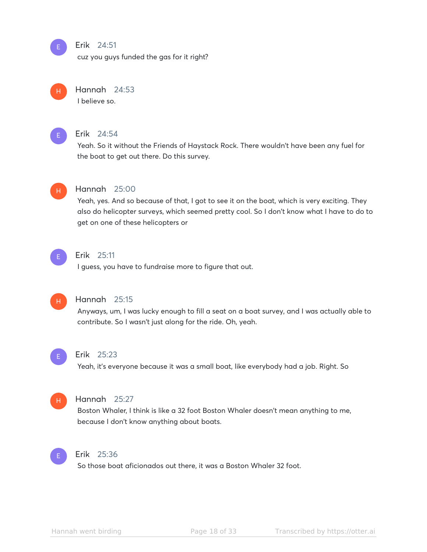#### Erik 24:51

cuz you guys funded the gas for it right?



E

## Hannah 24:53

I believe so.



## Erik 24:54

Yeah. So it without the Friends of Haystack Rock. There wouldn't have been any fuel for the boat to get out there. Do this survey.



## Hannah 25:00

Yeah, yes. And so because of that, I got to see it on the boat, which is very exciting. They also do helicopter surveys, which seemed pretty cool. So I don't know what I have to do to get on one of these helicopters or



#### Erik 25:11

I guess, you have to fundraise more to figure that out.



## Hannah 25:15

Anyways, um, I was lucky enough to fill a seat on a boat survey, and I was actually able to contribute. So I wasn't just along for the ride. Oh, yeah.



#### Erik 25:23

Yeah, it's everyone because it was a small boat, like everybody had a job. Right. So



#### Hannah 25:27

Boston Whaler, I think is like a 32 foot Boston Whaler doesn't mean anything to me, because I don't know anything about boats.



#### Erik 25:36

So those boat aficionados out there, it was a Boston Whaler 32 foot.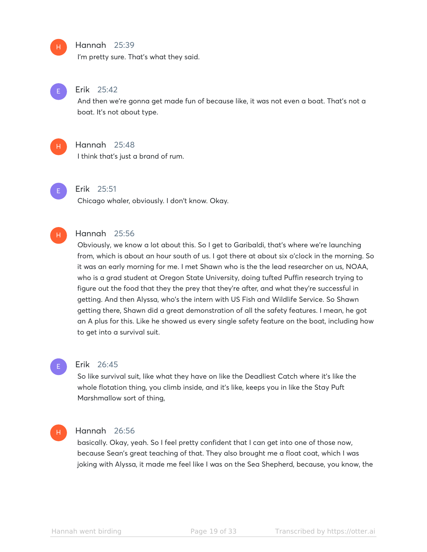#### Hannah 25:39

I'm pretty sure. That's what they said.



H

#### Erik 25:42

And then we're gonna get made fun of because like, it was not even a boat. That's not a boat. It's not about type.

H

#### Hannah 25:48

I think that's just a brand of rum.



#### Erik 25:51

Chicago whaler, obviously. I don't know. Okay.

#### Hannah 25:56 H

Obviously, we know a lot about this. So I get to Garibaldi, that's where we're launching from, which is about an hour south of us. I got there at about six o'clock in the morning. So it was an early morning for me. I met Shawn who is the the lead researcher on us, NOAA, who is a grad student at Oregon State University, doing tufted Puffin research trying to figure out the food that they the prey that they're after, and what they're successful in getting. And then Alyssa, who's the intern with US Fish and Wildlife Service. So Shawn getting there, Shawn did a great demonstration of all the safety features. I mean, he got an A plus for this. Like he showed us every single safety feature on the boat, including how to get into a survival suit.



#### Erik 26:45

So like survival suit, like what they have on like the Deadliest Catch where it's like the whole flotation thing, you climb inside, and it's like, keeps you in like the Stay Puft Marshmallow sort of thing,

#### Hannah 26:56 H

basically. Okay, yeah. So I feel pretty confident that I can get into one of those now, because Sean's great teaching of that. They also brought me a float coat, which I was joking with Alyssa, it made me feel like I was on the Sea Shepherd, because, you know, the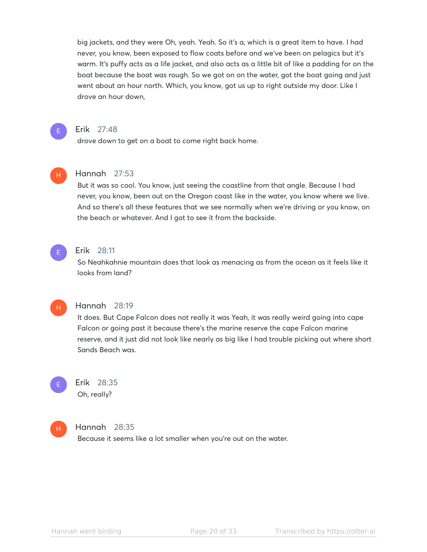big jackets, and they were Oh, yeah. Yeah. So it's a, which is a great item to have. I had never, you know, been exposed to flow coats before and we've been on pelagics but it's warm. It's puffy acts as a life jacket, and also acts as a little bit of like a padding for on the boat because the boat was rough. So we got on on the water, got the boat going and just went about an hour north. Which, you know, got us up to right outside my door. Like I drove an hour down,



#### Erik 27:48

drove down to get on a boat to come right back home.



## Hannah 27:53

But it was so cool. You know, just seeing the coastline from that angle. Because I had never, you know, been out on the Oregon coast like in the water, you know where we live. And so there's all these features that we see normally when we're driving or you know, on the beach or whatever. And I got to see it from the backside.



H

## Erik 28:11

So Neahkahnie mountain does that look as menacing as from the ocean as it feels like it looks from land?

#### Hannah 28:19

It does. But Cape Falcon does not really it was Yeah, it was really weird going into cape Falcon or going past it because there's the marine reserve the cape Falcon marine reserve, and it just did not look like nearly as big like I had trouble picking out where short Sands Beach was.



## Erik 28:35

Oh, really?



#### Hannah 28:35

Because it seems like a lot smaller when you're out on the water.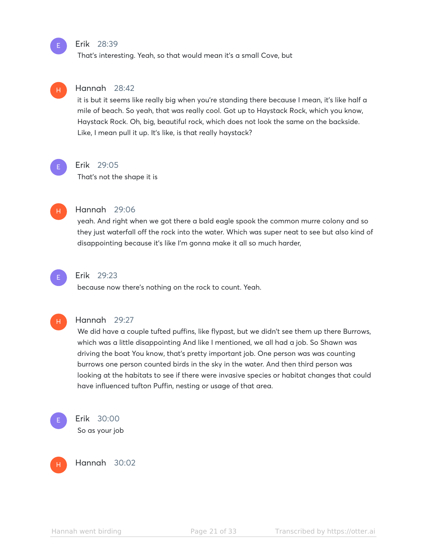#### Erik 28:39

That's interesting. Yeah, so that would mean it's a small Cove, but



it is but it seems like really big when you're standing there because I mean, it's like half a mile of beach. So yeah, that was really cool. Got up to Haystack Rock, which you know, Haystack Rock. Oh, big, beautiful rock, which does not look the same on the backside. Like, I mean pull it up. It's like, is that really haystack?



E

#### Erik 29:05

That's not the shape it is



#### Hannah 29:06

yeah. And right when we got there a bald eagle spook the common murre colony and so they just waterfall off the rock into the water. Which was super neat to see but also kind of disappointing because it's like I'm gonna make it all so much harder,



## Erik 29:23

because now there's nothing on the rock to count. Yeah.



#### Hannah 29:27

We did have a couple tufted puffins, like flypast, but we didn't see them up there Burrows, which was a little disappointing And like I mentioned, we all had a job. So Shawn was driving the boat You know, that's pretty important job. One person was was counting burrows one person counted birds in the sky in the water. And then third person was looking at the habitats to see if there were invasive species or habitat changes that could have influenced tufton Puffin, nesting or usage of that area.



Erik 30:00 So as your job

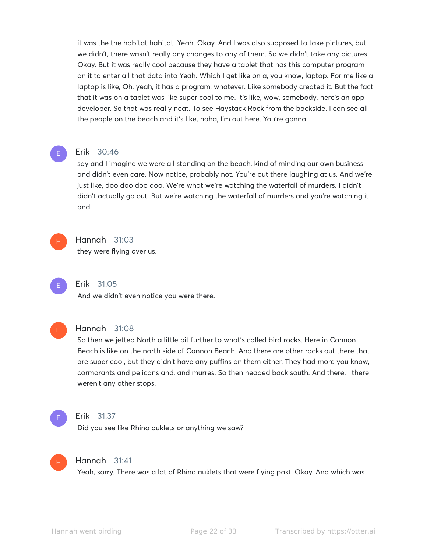it was the the habitat habitat. Yeah. Okay. And I was also supposed to take pictures, but we didn't, there wasn't really any changes to any of them. So we didn't take any pictures. Okay. But it was really cool because they have a tablet that has this computer program on it to enter all that data into Yeah. Which I get like on a, you know, laptop. For me like a laptop is like, Oh, yeah, it has a program, whatever. Like somebody created it. But the fact that it was on a tablet was like super cool to me. It's like, wow, somebody, here's an app developer. So that was really neat. To see Haystack Rock from the backside. I can see all the people on the beach and it's like, haha, I'm out here. You're gonna

#### Erik 30:46

say and I imagine we were all standing on the beach, kind of minding our own business and didn't even care. Now notice, probably not. You're out there laughing at us. And we're just like, doo doo doo doo. We're what we're watching the waterfall of murders. I didn't I didn't actually go out. But we're watching the waterfall of murders and you're watching it and



E

#### Hannah 31:03

they were flying over us.



## Erik 31:05

And we didn't even notice you were there.



#### Hannah 31:08

So then we jetted North a little bit further to what's called bird rocks. Here in Cannon Beach is like on the north side of Cannon Beach. And there are other rocks out there that are super cool, but they didn't have any puffins on them either. They had more you know, cormorants and pelicans and, and murres. So then headed back south. And there. I there weren't any other stops.



#### Erik 31:37

Did you see like Rhino auklets or anything we saw?



#### Hannah 31:41

Yeah, sorry. There was a lot of Rhino auklets that were flying past. Okay. And which was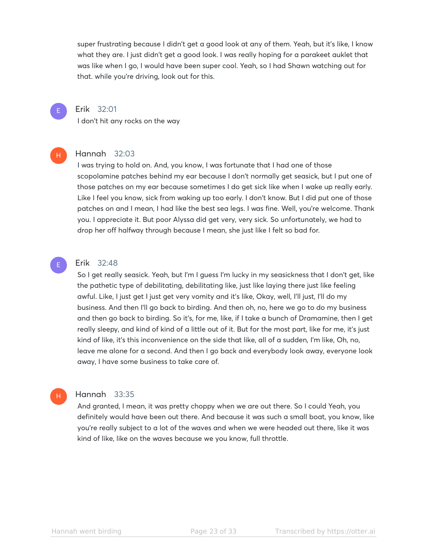super frustrating because I didn't get a good look at any of them. Yeah, but it's like, I know what they are. I just didn't get a good look. I was really hoping for a parakeet auklet that was like when I go, I would have been super cool. Yeah, so I had Shawn watching out for that. while you're driving, look out for this.



H

## Erik 32:01

I don't hit any rocks on the way

## Hannah 32:03

I was trying to hold on. And, you know, I was fortunate that I had one of those scopolamine patches behind my ear because I don't normally get seasick, but I put one of those patches on my ear because sometimes I do get sick like when I wake up really early. Like I feel you know, sick from waking up too early. I don't know. But I did put one of those patches on and I mean, I had like the best sea legs. I was fine. Well, you're welcome. Thank you. I appreciate it. But poor Alyssa did get very, very sick. So unfortunately, we had to drop her off halfway through because I mean, she just like I felt so bad for.

## Erik 32:48

E

H

So I get really seasick. Yeah, but I'm I guess I'm lucky in my seasickness that I don't get, like the pathetic type of debilitating, debilitating like, just like laying there just like feeling awful. Like, I just get I just get very vomity and it's like, Okay, well, I'll just, I'll do my business. And then I'll go back to birding. And then oh, no, here we go to do my business and then go back to birding. So it's, for me, like, if I take a bunch of Dramamine, then I get really sleepy, and kind of kind of a little out of it. But for the most part, like for me, it's just kind of like, it's this inconvenience on the side that like, all of a sudden, I'm like, Oh, no, leave me alone for a second. And then I go back and everybody look away, everyone look away, I have some business to take care of.

## Hannah 33:35

And granted, I mean, it was pretty choppy when we are out there. So I could Yeah, you definitely would have been out there. And because it was such a small boat, you know, like you're really subject to a lot of the waves and when we were headed out there, like it was kind of like, like on the waves because we you know, full throttle.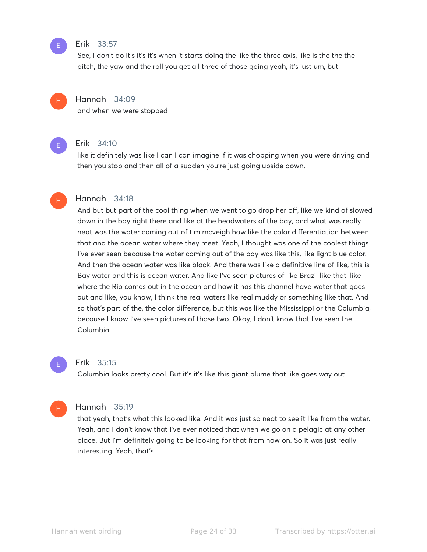#### Erik 33:57

See, I don't do it's it's it's when it starts doing the like the three axis, like is the the the pitch, the yaw and the roll you get all three of those going yeah, it's just um, but

#### Hannah 34:09

and when we were stopped



H

H

E

## Erik 34:10

like it definitely was like I can I can imagine if it was chopping when you were driving and then you stop and then all of a sudden you're just going upside down.

#### Hannah 34:18

And but but part of the cool thing when we went to go drop her off, like we kind of slowed down in the bay right there and like at the headwaters of the bay, and what was really neat was the water coming out of tim mcveigh how like the color differentiation between that and the ocean water where they meet. Yeah, I thought was one of the coolest things I've ever seen because the water coming out of the bay was like this, like light blue color. And then the ocean water was like black. And there was like a definitive line of like, this is Bay water and this is ocean water. And like I've seen pictures of like Brazil like that, like where the Rio comes out in the ocean and how it has this channel have water that goes out and like, you know, I think the real waters like real muddy or something like that. And so that's part of the, the color difference, but this was like the Mississippi or the Columbia, because I know I've seen pictures of those two. Okay, I don't know that I've seen the Columbia.



#### Erik 35:15

Columbia looks pretty cool. But it's it's like this giant plume that like goes way out



#### Hannah 35:19

that yeah, that's what this looked like. And it was just so neat to see it like from the water. Yeah, and I don't know that I've ever noticed that when we go on a pelagic at any other place. But I'm definitely going to be looking for that from now on. So it was just really interesting. Yeah, that's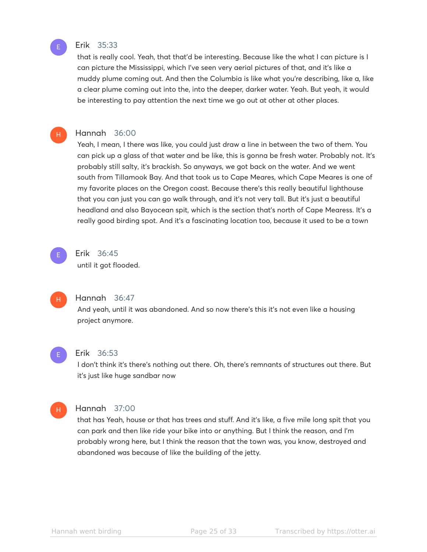

H

#### Erik 35:33

that is really cool. Yeah, that that'd be interesting. Because like the what I can picture is I can picture the Mississippi, which I've seen very aerial pictures of that, and it's like a muddy plume coming out. And then the Columbia is like what you're describing, like a, like a clear plume coming out into the, into the deeper, darker water. Yeah. But yeah, it would be interesting to pay attention the next time we go out at other at other places.

#### Hannah 36:00

Yeah, I mean, I there was like, you could just draw a line in between the two of them. You can pick up a glass of that water and be like, this is gonna be fresh water. Probably not. It's probably still salty, it's brackish. So anyways, we got back on the water. And we went south from Tillamook Bay. And that took us to Cape Meares, which Cape Meares is one of my favorite places on the Oregon coast. Because there's this really beautiful lighthouse that you can just you can go walk through, and it's not very tall. But it's just a beautiful headland and also Bayocean spit, which is the section that's north of Cape Mearess. It's a really good birding spot. And it's a fascinating location too, because it used to be a town



## Erik 36:45

until it got flooded.



#### Hannah 36:47

And yeah, until it was abandoned. And so now there's this it's not even like a housing project anymore.



#### Erik 36:53

I don't think it's there's nothing out there. Oh, there's remnants of structures out there. But it's just like huge sandbar now



#### Hannah 37:00

that has Yeah, house or that has trees and stuff. And it's like, a five mile long spit that you can park and then like ride your bike into or anything. But I think the reason, and I'm probably wrong here, but I think the reason that the town was, you know, destroyed and abandoned was because of like the building of the jetty.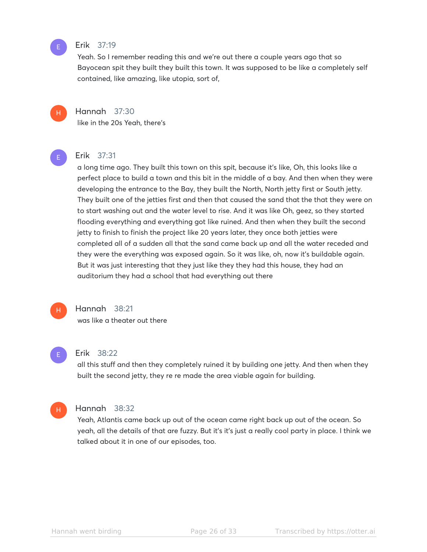#### Erik 37:19

Yeah. So I remember reading this and we're out there a couple years ago that so Bayocean spit they built they built this town. It was supposed to be like a completely self contained, like amazing, like utopia, sort of,



E

## Hannah 37:30

like in the 20s Yeah, there's



## Erik 37:31

a long time ago. They built this town on this spit, because it's like, Oh, this looks like a perfect place to build a town and this bit in the middle of a bay. And then when they were developing the entrance to the Bay, they built the North, North jetty first or South jetty. They built one of the jetties first and then that caused the sand that the that they were on to start washing out and the water level to rise. And it was like Oh, geez, so they started flooding everything and everything got like ruined. And then when they built the second jetty to finish to finish the project like 20 years later, they once both jetties were completed all of a sudden all that the sand came back up and all the water receded and they were the everything was exposed again. So it was like, oh, now it's buildable again. But it was just interesting that they just like they they had this house, they had an auditorium they had a school that had everything out there



## Hannah 38:21

was like a theater out there



#### Erik 38:22

all this stuff and then they completely ruined it by building one jetty. And then when they built the second jetty, they re re made the area viable again for building.



#### Hannah 38:32

Yeah, Atlantis came back up out of the ocean came right back up out of the ocean. So yeah, all the details of that are fuzzy. But it's it's just a really cool party in place. I think we talked about it in one of our episodes, too.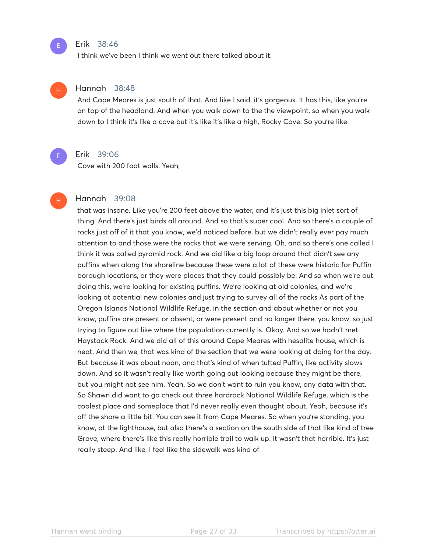#### Erik 38:46

I think we've been I think we went out there talked about it.

#### Hannah 38:48 H

And Cape Meares is just south of that. And like I said, it's gorgeous. It has this, like you're on top of the headland. And when you walk down to the the viewpoint, so when you walk down to I think it's like a cove but it's like it's like a high, Rocky Cove. So you're like



H

E

## Erik 39:06

Cove with 200 foot walls. Yeah,

#### Hannah 39:08

that was insane. Like you're 200 feet above the water, and it's just this big inlet sort of thing. And there's just birds all around. And so that's super cool. And so there's a couple of rocks just off of it that you know, we'd noticed before, but we didn't really ever pay much attention to and those were the rocks that we were serving. Oh, and so there's one called I think it was called pyramid rock. And we did like a big loop around that didn't see any puffins when along the shoreline because these were a lot of these were historic for Puffin borough locations, or they were places that they could possibly be. And so when we're out doing this, we're looking for existing puffins. We're looking at old colonies, and we're looking at potential new colonies and just trying to survey all of the rocks As part of the Oregon Islands National Wildlife Refuge, in the section and about whether or not you know, puffins are present or absent, or were present and no longer there, you know, so just trying to figure out like where the population currently is. Okay. And so we hadn't met Haystack Rock. And we did all of this around Cape Meares with hesalite house, which is neat. And then we, that was kind of the section that we were looking at doing for the day. But because it was about noon, and that's kind of when tufted Puffin, like activity slows down. And so it wasn't really like worth going out looking because they might be there, but you might not see him. Yeah. So we don't want to ruin you know, any data with that. So Shawn did want to go check out three hardrock National Wildlife Refuge, which is the coolest place and someplace that I'd never really even thought about. Yeah, because it's off the shore a little bit. You can see it from Cape Meares. So when you're standing, you know, at the lighthouse, but also there's a section on the south side of that like kind of tree Grove, where there's like this really horrible trail to walk up. It wasn't that horrible. It's just really steep. And like, I feel like the sidewalk was kind of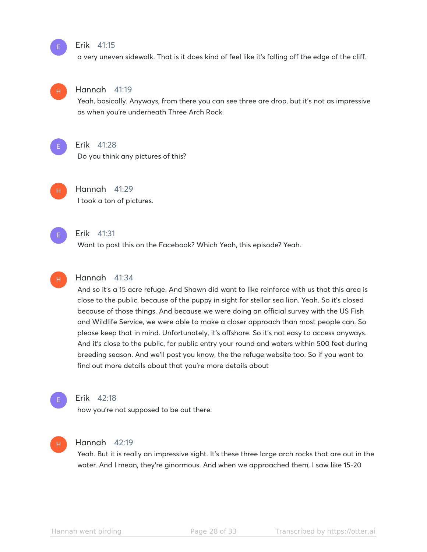#### Erik 41:15

a very uneven sidewalk. That is it does kind of feel like it's falling off the edge of the cliff.



E

#### Hannah 41:19

Yeah, basically. Anyways, from there you can see three are drop, but it's not as impressive as when you're underneath Three Arch Rock.



## Erik 41:28

Do you think any pictures of this?



Hannah 41:29 I took a ton of pictures.



#### Erik 41:31

Want to post this on the Facebook? Which Yeah, this episode? Yeah.

## H

## Hannah 41:34

And so it's a 15 acre refuge. And Shawn did want to like reinforce with us that this area is close to the public, because of the puppy in sight for stellar sea lion. Yeah. So it's closed because of those things. And because we were doing an official survey with the US Fish and Wildlife Service, we were able to make a closer approach than most people can. So please keep that in mind. Unfortunately, it's offshore. So it's not easy to access anyways. And it's close to the public, for public entry your round and waters within 500 feet during breeding season. And we'll post you know, the the refuge website too. So if you want to find out more details about that you're more details about



#### Erik 42:18

how you're not supposed to be out there.

#### Hannah 42:19 H

Yeah. But it is really an impressive sight. It's these three large arch rocks that are out in the water. And I mean, they're ginormous. And when we approached them, I saw like 15-20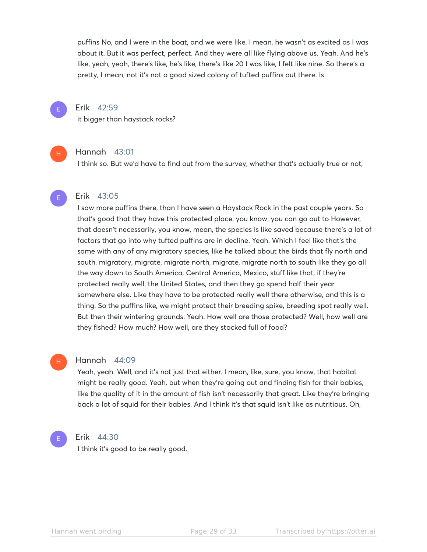puffins No, and I were in the boat, and we were like, I mean, he wasn't as excited as I was about it. But it was perfect, perfect. And they were all like flying above us. Yeah. And he's like, yeah, yeah, there's like, he's like, there's like 20 I was like, I felt like nine. So there's a pretty, I mean, not it's not a good sized colony of tufted puffins out there. Is



H

#### Erik 42:59

it bigger than haystack rocks?

#### Hannah 43:01

I think so. But we'd have to find out from the survey, whether that's actually true or not,

#### Erik 43:05

I saw more puffins there, than I have seen a Haystack Rock in the past couple years. So that's good that they have this protected place, you know, you can go out to However, that doesn't necessarily, you know, mean, the species is like saved because there's a lot of factors that go into why tufted puffins are in decline. Yeah. Which I feel like that's the same with any of any migratory species, like he talked about the birds that fly north and south, migratory, migrate, migrate north, migrate, migrate north to south like they go all the way down to South America, Central America, Mexico, stuff like that, if they're protected really well, the United States, and then they go spend half their year somewhere else. Like they have to be protected really well there otherwise, and this is a thing. So the puffins like, we might protect their breeding spike, breeding spot really well. But then their wintering grounds. Yeah. How well are those protected? Well, how well are they fished? How much? How well, are they stocked full of food?

## H

#### Hannah 44:09

Yeah, yeah. Well, and it's not just that either. I mean, like, sure, you know, that habitat might be really good. Yeah, but when they're going out and finding fish for their babies, like the quality of it in the amount of fish isn't necessarily that great. Like they're bringing back a lot of squid for their babies. And I think it's that squid isn't like as nutritious. Oh,



#### Erik 44:30

I think it's good to be really good,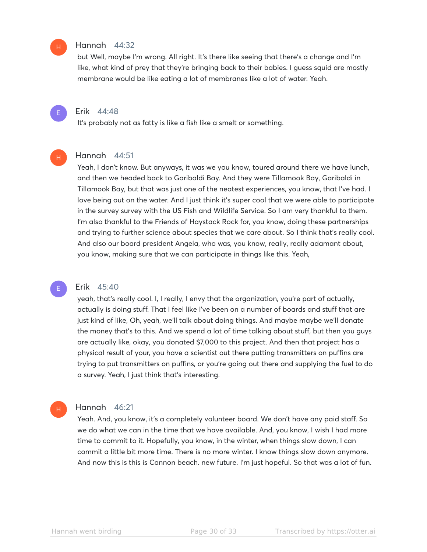#### Hannah 44:32

but Well, maybe I'm wrong. All right. It's there like seeing that there's a change and I'm like, what kind of prey that they're bringing back to their babies. I guess squid are mostly membrane would be like eating a lot of membranes like a lot of water. Yeah.



H

E

H

H

## Erik 44:48

It's probably not as fatty is like a fish like a smelt or something.

#### Hannah 44:51

Yeah, I don't know. But anyways, it was we you know, toured around there we have lunch, and then we headed back to Garibaldi Bay. And they were Tillamook Bay, Garibaldi in Tillamook Bay, but that was just one of the neatest experiences, you know, that I've had. I love being out on the water. And I just think it's super cool that we were able to participate in the survey survey with the US Fish and Wildlife Service. So I am very thankful to them. I'm also thankful to the Friends of Haystack Rock for, you know, doing these partnerships and trying to further science about species that we care about. So I think that's really cool. And also our board president Angela, who was, you know, really, really adamant about, you know, making sure that we can participate in things like this. Yeah,

#### Erik 45:40

yeah, that's really cool. I, I really, I envy that the organization, you're part of actually, actually is doing stuff. That I feel like I've been on a number of boards and stuff that are just kind of like, Oh, yeah, we'll talk about doing things. And maybe maybe we'll donate the money that's to this. And we spend a lot of time talking about stuff, but then you guys are actually like, okay, you donated \$7,000 to this project. And then that project has a physical result of your, you have a scientist out there putting transmitters on puffins are trying to put transmitters on puffins, or you're going out there and supplying the fuel to do a survey. Yeah, I just think that's interesting.

#### Hannah 46:21

Yeah. And, you know, it's a completely volunteer board. We don't have any paid staff. So we do what we can in the time that we have available. And, you know, I wish I had more time to commit to it. Hopefully, you know, in the winter, when things slow down, I can commit a little bit more time. There is no more winter. I know things slow down anymore. And now this is this is Cannon beach. new future. I'm just hopeful. So that was a lot of fun.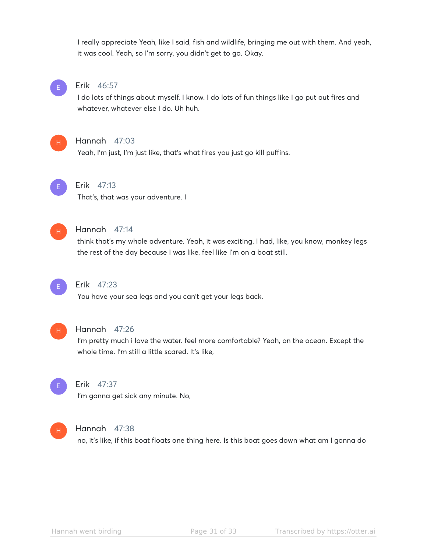I really appreciate Yeah, like I said, fish and wildlife, bringing me out with them. And yeah, it was cool. Yeah, so I'm sorry, you didn't get to go. Okay.



#### Erik 46:57

I do lots of things about myself. I know. I do lots of fun things like I go put out fires and whatever, whatever else I do. Uh huh.



#### Hannah 47:03

Yeah, I'm just, I'm just like, that's what fires you just go kill puffins.



## Erik 47:13

That's, that was your adventure. I



## Hannah 47:14

think that's my whole adventure. Yeah, it was exciting. I had, like, you know, monkey legs the rest of the day because I was like, feel like I'm on a boat still.



## Erik 47:23

You have your sea legs and you can't get your legs back.



#### Hannah 47:26

I'm pretty much i love the water. feel more comfortable? Yeah, on the ocean. Except the whole time. I'm still a little scared. It's like,



## Erik 47:37

I'm gonna get sick any minute. No,



#### Hannah 47:38

no, it's like, if this boat floats one thing here. Is this boat goes down what am I gonna do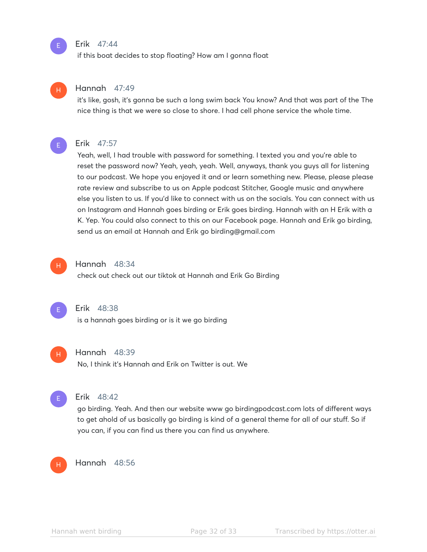#### Erik 47:44

if this boat decides to stop floating? How am I gonna float

## H

E

## Hannah 47:49

it's like, gosh, it's gonna be such a long swim back You know? And that was part of the The nice thing is that we were so close to shore. I had cell phone service the whole time.



#### Erik 47:57

Yeah, well, I had trouble with password for something. I texted you and you're able to reset the password now? Yeah, yeah, yeah. Well, anyways, thank you guys all for listening to our podcast. We hope you enjoyed it and or learn something new. Please, please please rate review and subscribe to us on Apple podcast Stitcher, Google music and anywhere else you listen to us. If you'd like to connect with us on the socials. You can connect with us on Instagram and Hannah goes birding or Erik goes birding. Hannah with an H Erik with a K. Yep. You could also connect to this on our Facebook page. Hannah and Erik go birding, send us an email at Hannah and Erik go birding@gmail.com



#### Hannah 48:34

check out check out our tiktok at Hannah and Erik Go Birding



#### Erik 48:38

is a hannah goes birding or is it we go birding



#### Hannah 48:39

No, I think it's Hannah and Erik on Twitter is out. We



#### Erik 48:42

go birding. Yeah. And then our website www go birdingpodcast.com lots of different ways to get ahold of us basically go birding is kind of a general theme for all of our stuff. So if you can, if you can find us there you can find us anywhere.



#### Hannah 48:56